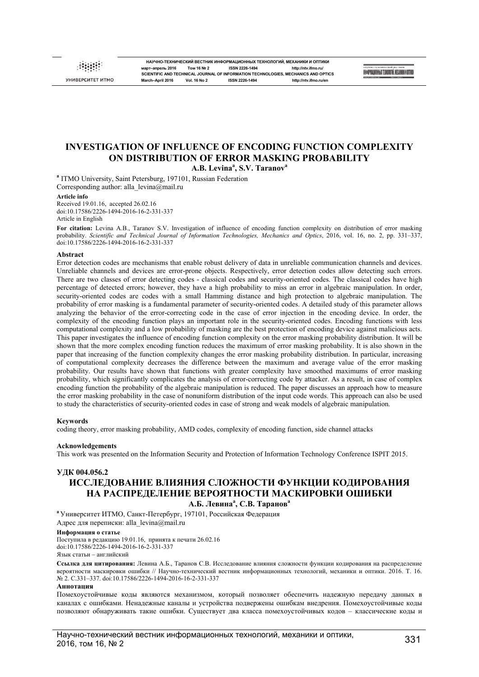УНИВЕРСИТЕТ ИТМС

**НАУЧНО-ТЕХНИЧЕСКИЙ ВЕСТНИК ИНФОРМАЦИОННЫХ ТЕХНОЛОГИЙ, МЕХАНИКИ И ОПТИКИ март–апрель 2016 Том 16 № 2 ISSN 2226-1494 http://ntv.ifmo.ru/ SCIENTIFIC AND TECHNICAL JOURNAL OF INFORMATION TECHNOLOGIES, MECHANICS AND OPTICS March–April 2016 Vol. 16 No 2 ISSN 2226-1494 http://ntv.ifmo.ru/en**

NHOOPMAQNOHHUN TEXHONOTNÄ. MEXAHMKH N OUTHER

# **INVESTIGATION OF INFLUENCE OF ENCODING FUNCTION COMPLEXITY ON DISTRIBUTION OF ERROR MASKING PROBABILITY A.B. Levina<sup>a</sup> , S.V. Taranov<sup>a</sup>**

**a** ITMO University, Saint Petersburg, 197101, Russian Federation Corresponding author: alla\_levina@mail.ru

#### **Article info**

Received 19.01.16, accepted 26.02.16 doi:10.17586/2226-1494-2016-16-2-331-337 Article in English

**For citation:** Levina A.B., Taranov S.V. Investigation of influence of encoding function complexity on distribution of error masking probability. *Scientific and Technical Journal of Information Technologies, Mechanics and Optics*, 2016, vol. 16, no. 2, pp. 331–337, doi:10.17586/2226-1494-2016-16-2-331-337

#### **Abstract**

Error detection codes are mechanisms that enable robust delivery of data in unreliable communication channels and devices. Unreliable channels and devices are error-prone objects. Respectively, error detection codes allow detecting such errors. There are two classes of error detecting codes - classical codes and security-oriented codes. The classical codes have high percentage of detected errors; however, they have a high probability to miss an error in algebraic manipulation. In order, security-oriented codes are codes with a small Hamming distance and high protection to algebraic manipulation. The probability of error masking is a fundamental parameter of security-oriented codes. A detailed study of this parameter allows analyzing the behavior of the error-correcting code in the case of error injection in the encoding device. In order, the complexity of the encoding function plays an important role in the security-oriented codes. Encoding functions with less computational complexity and a low probability of masking are the best protection of encoding device against malicious acts. This paper investigates the influence of encoding function complexity on the error masking probability distribution. It will be shown that the more complex encoding function reduces the maximum of error masking probability. It is also shown in the paper that increasing of the function complexity changes the error masking probability distribution. In particular, increasing of computational complexity decreases the difference between the maximum and average value of the error masking probability. Our results have shown that functions with greater complexity have smoothed maximums of error masking probability, which significantly complicates the analysis of error-correcting code by attacker. As a result, in case of complex encoding function the probability of the algebraic manipulation is reduced. The paper discusses an approach how to measure the error masking probability in the case of nonuniform distribution of the input code words. This approach can also be used to study the characteristics of security-oriented codes in case of strong and weak models of algebraic manipulation.

#### **Keywords**

coding theory, error masking probability, AMD codes, complexity of encoding function, side channel attacks

#### **Acknowledgements**

This work was presented on the Information Security and Protection of Information Technology Conference ISPIT 2015.

# **УДК 004.056.2 ИССЛЕДОВАНИЕ ВЛИЯНИЯ СЛОЖНОСТИ ФУНКЦИИ КОДИРОВАНИЯ НА РАСПРЕДЕЛЕНИЕ ВЕРОЯТНОСТИ МАСКИРОВКИ ОШИБКИ А.Б. Левина<sup>a</sup> , С.В. Таранов<sup>a</sup>**

**<sup>a</sup>** Университет ИТМО, Санкт-Петербург, 197101, Российская Федерация Адрес для переписки: alla levina@mail.ru

## **Информация о статье**

Поступила в редакцию 19.01.16, принята к печати 26.02.16 doi:10.17586/2226-1494-2016-16-2-331-337 Язык статьи – английский

**Ссылка для цитирования:** Левина А.Б., Таранов С.В. Исследование влияния сложности функции кодирования на распределение вероятности маскировки ошибки // Научно-технический вестник информационных технологий, механики и оптики. 2016. Т. 16. № 2. С.331–337. doi:10.17586/2226-1494-2016-16-2-331-337

#### **Аннотация**

Помехоустойчивые коды являются механизмом, который позволяет обеспечить надежную передачу данных в каналах с ошибками. Ненадежные каналы и устройства подвержены ошибкам внедрения. Помехоустойчивые коды позволяют обнаруживать такие ошибки. Существует два класса помехоустойчивых кодов – классические коды и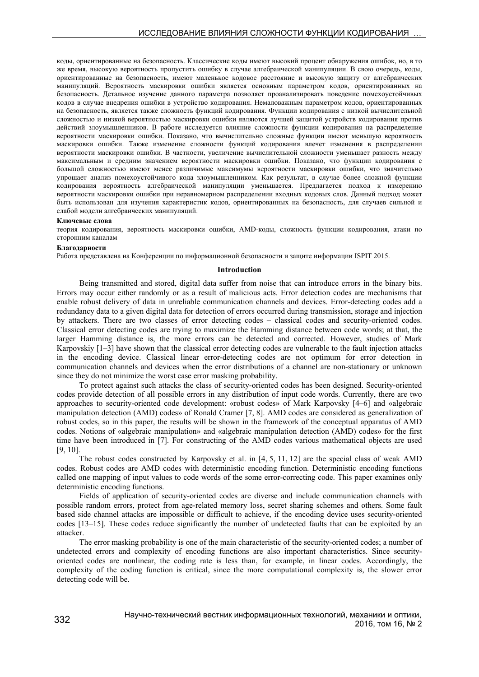коды, ориентированные на безопасность. Классические коды имеют высокий процент обнаружения ошибок, но, в то же время, высокую вероятность пропустить ошибку в случае алгебраической манипуляции. В свою очередь, коды, ориентированные на безопасность, имеют маленькое кодовое расстояние и высокую защиту от алгебраических манипуляций. Вероятность маскировки ошибки является основным параметром кодов, ориентированных на безопасность. Детальное изучение данного параметра позволяет проанализировать поведение помехоустойчивых кодов в случае внедрения ошибки в устройство кодирования. Немаловажным параметром кодов, ориентированных на безопасность, является также сложность функций кодирования. Функции кодирования с низкой вычислительной сложностью и низкой вероятностью маскировки ошибки являются лучшей защитой устройств кодирования против действий злоумышленников. В работе исследуется влияние сложности функции кодирования на распределение вероятности маскировки ошибки. Показано, что вычислительно сложные функции имеют меньшую вероятность маскировки ошибки. Также изменение сложности функций кодирования влечет изменения в распределении вероятности маскировки ошибки. В частности, увеличение вычислительной сложности уменьшает разность между максимальным и средним значением вероятности маскировки ошибки. Показано, что функции кодирования с большой сложностью имеют менее различимые максимумы вероятности маскировки ошибки, что значительно упрощает анализ помехоустойчивого кода злоумышленником. Как результат, в случае более сложной функции кодирования вероятность алгебраической манипуляции уменьшается. Предлагается подход к измерению вероятности маскировки ошибки при неравномерном распределении входных кодовых слов. Данный подход может быть использован для изучения характеристик кодов, ориентированных на безопасность, для случаев сильной и слабой модели алгебраических манипуляций.

#### **Ключевые слова**

теория кодирования, вероятность маскировки ошибки, AMD-коды, сложность функции кодирования, атаки по сторонним каналам

#### **Благодарности**

Работа представлена на Конференции по информационной безопасности и защите информации ISPIT 2015.

## **Introduction**

Being transmitted and stored, digital data suffer from noise that can introduce errors in the binary bits. Errors may occur either randomly or as a result of malicious acts. Error detection codes are mechanisms that enable robust delivery of data in unreliable communication channels and devices. Error-detecting codes add a redundancy data to a given digital data for detection of errors occurred during transmission, storage and injection by attackers. There are two classes of error detecting codes – classical codes and security-oriented codes. Classical error detecting codes are trying to maximize the Hamming distance between code words; at that, the larger Hamming distance is, the more errors can be detected and corrected. However, studies of Mark Karpovskiy [1–3] have shown that the classical error detecting codes are vulnerable to the fault injection attacks in the encoding device. Classical linear error-detecting codes are not optimum for error detection in communication channels and devices when the error distributions of a channel are non-stationary or unknown since they do not minimize the worst case error masking probability.

To protect against such attacks the class of security-oriented codes has been designed. Security-oriented codes provide detection of all possible errors in any distribution of input code words. Currently, there are two approaches to security-oriented code development: «robust codes» of Mark Karpovsky [4–6] and «algebraic manipulation detection (AMD) codes» of Ronald Cramer [7, 8]. AMD codes are considered as generalization of robust codes, so in this paper, the results will be shown in the framework of the conceptual apparatus of AMD codes. Notions of «algebraic manipulation» and «algebraic manipulation detection (AMD) codes» for the first time have been introduced in [7]. For constructing of the AMD codes various mathematical objects are used [9, 10].

The robust codes constructed by Karpovsky et al. in  $[4, 5, 11, 12]$  are the special class of weak AMD codes. Robust codes are AMD codes with deterministic encoding function. Deterministic encoding functions called one mapping of input values to code words of the some error-correcting code. This paper examines only deterministic encoding functions.

Fields of application of security-oriented codes are diverse and include communication channels with possible random errors, protect from age-related memory loss, secret sharing schemes and others. Some fault based side channel attacks are impossible or difficult to achieve, if the encoding device uses security-oriented codes [13–15]. These codes reduce significantly the number of undetected faults that can be exploited by an attacker.

The error masking probability is one of the main characteristic of the security-oriented codes; a number of undetected errors and complexity of encoding functions are also important characteristics. Since securityoriented codes are nonlinear, the coding rate is less than, for example, in linear codes. Accordingly, the complexity of the coding function is critical, since the more computational complexity is, the slower error detecting code will be.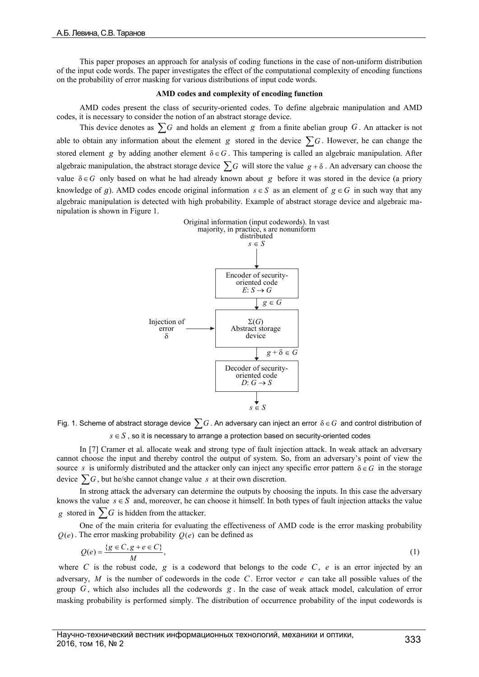This paper proposes an approach for analysis of coding functions in the case of non-uniform distribution of the input code words. The paper investigates the effect of the computational complexity of encoding functions on the probability of error masking for various distributions of input code words.

## **AMD codes and complexity of encoding function**

AMD codes present the class of security-oriented codes. To define algebraic manipulation and AMD codes, it is necessary to consider the notion of an abstract storage device.

This device denotes as  $\sum G$  and holds an element *g* from a finite abelian group *G*. An attacker is not able to obtain any information about the element *g* stored in the device  $\sum G$ . However, he can change the stored element *g* by adding another element  $\delta \in G$ . This tampering is called an algebraic manipulation. After algebraic manipulation, the abstract storage device  $\sum G$  will store the value  $g + \delta$ . An adversary can choose the value  $\delta \in G$  only based on what he had already known about *g* before it was stored in the device (a priory knowledge of g). AMD codes encode original information  $s \in S$  as an element of  $g \in G$  in such way that any algebraic manipulation is detected with high probability. Example of abstract storage device and algebraic manipulation is shown in Figure 1.



Fig. 1. Scheme of abstract storage device *<sup>G</sup>* . An adversary can inject an error δ*G* and control distribution of  $s \in S$ , so it is necessary to arrange a protection based on security-oriented codes

In [7] Cramer et al. allocate weak and strong type of fault injection attack. In weak attack an adversary cannot choose the input and thereby control the output of system. So, from an adversary's point of view the source *s* is uniformly distributed and the attacker only can inject any specific error pattern  $\delta \in G$  in the storage device  $\sum G$ , but he/she cannot change value *s* at their own discretion.

In strong attack the adversary can determine the outputs by choosing the inputs. In this case the adversary knows the value  $s \in S$  and, moreover, he can choose it himself. In both types of fault injection attacks the value *g* stored in  $\sum G$  is hidden from the attacker.

One of the main criteria for evaluating the effectiveness of AMD code is the error masking probability  $Q(e)$ . The error masking probability  $Q(e)$  can be defined as

$$
Q(e) = \frac{\{g \in C, g + e \in C\}}{M},\tag{1}
$$

where *C* is the robust code,  $g$  is a codeword that belongs to the code  $C$ ,  $e$  is an error injected by an adversary, *M* is the number of codewords in the code *C*. Error vector *e* can take all possible values of the group *G* , which also includes all the codewords *g* . In the case of weak attack model, calculation of error masking probability is performed simply. The distribution of occurrence probability of the input codewords is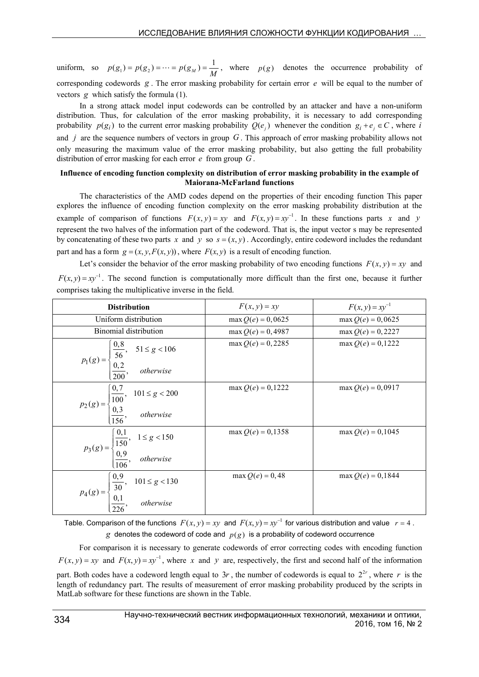uniform, so  $p(g_1) = p(g_2) = \cdots = p(g_M) = \frac{1}{M}$ , where  $p(g)$  denotes the occurrence probability of corresponding codewords *g* . The error masking probability for certain error *e* will be equal to the number of vectors *g* which satisfy the formula (1).

In a strong attack model input codewords can be controlled by an attacker and have a non-uniform distribution. Thus, for calculation of the error masking probability, it is necessary to add corresponding probability  $p(g_i)$  to the current error masking probability  $Q(e_i)$  whenever the condition  $g_i + e_j \in C$ , where *i* and *j* are the sequence numbers of vectors in group *G* . This approach of error masking probability allows not only measuring the maximum value of the error masking probability, but also getting the full probability distribution of error masking for each error *e* from group *G* .

# **Influence of encoding function complexity on distribution of error masking probability in the example of Maiorana-McFarland functions**

The characteristics of the AMD codes depend on the properties of their encoding function This paper explores the influence of encoding function complexity on the error masking probability distribution at the example of comparison of functions  $F(x, y) = xy$  and  $F(x, y) = xy^{-1}$ . In these functions parts *x* and *y* represent the two halves of the information part of the codeword. That is, the input vector s may be represented by concatenating of these two parts *x* and *y* so  $s = (x, y)$ . Accordingly, entire codeword includes the redundant part and has a form  $g = (x, y, F(x, y))$ , where  $F(x, y)$  is a result of encoding function.

Let's consider the behavior of the error masking probability of two encoding functions  $F(x, y) = xy$  and  $F(x, y) = xy^{-1}$ . The second function is computationally more difficult than the first one, because it further comprises taking the multiplicative inverse in the field.

| <b>Distribution</b>                                                                                                                                                                        | $F(x, y) = xy$      | $F(x, y) = xy^{-1}$ |
|--------------------------------------------------------------------------------------------------------------------------------------------------------------------------------------------|---------------------|---------------------|
| Uniform distribution                                                                                                                                                                       | $max Q(e) = 0,0625$ | $max Q(e) = 0,0625$ |
| Binomial distribution                                                                                                                                                                      | $max Q(e) = 0,4987$ | $max Q(e) = 0,2227$ |
| $p_1(g) = \begin{cases} \frac{0.8}{56}, & 51 \le g < 106 \\ \frac{0.2}{200}, & otherwise \end{cases}$                                                                                      | $max Q(e) = 0,2285$ | $max Q(e) = 0,1222$ |
| $p_2(g) = \begin{cases} 0.7 & 101 \le g < 200 \\ \frac{0.3}{156}, & otherwise \end{cases}$                                                                                                 | $max Q(e) = 0,1222$ | $max Q(e) = 0,0917$ |
| $p_3(g) = \begin{cases} \frac{0,1}{150}, & 1 \le g < 150 \\ \frac{0,9}{106}, & otherwise \end{cases}$                                                                                      | $max Q(e) = 0,1358$ | $max Q(e) = 0,1045$ |
| $p_4(g) = \begin{cases} 0,9 \\ 30 \\ 0,1 \\ 226 \end{cases}$ , 101 $\leq g < 130$<br><i>p</i> <sub>4</sub> ( <i>g</i> ) = $\begin{cases} 0,9 \\ 0,1 \\ 226 \end{cases}$ , <i>otherwise</i> | $max Q(e) = 0,48$   | $max Q(e) = 0,1844$ |

Table. Comparison of the functions  $F(x, y) = xy$  and  $F(x, y) = xy^{-1}$  for various distribution and value  $r = 4$ . *g* denotes the codeword of code and  $p(g)$  is a probability of codeword occurrence

For comparison it is necessary to generate codewords of error correcting codes with encoding function  $F(x, y) = xy$  and  $F(x, y) = xy^{-1}$ , where x and y are, respectively, the first and second half of the information part. Both codes have a codeword length equal to  $3r$ , the number of codewords is equal to  $2^{2r}$ , where r is the length of redundancy part. The results of measurement of error masking probability produced by the scripts in MatLab software for these functions are shown in the Table.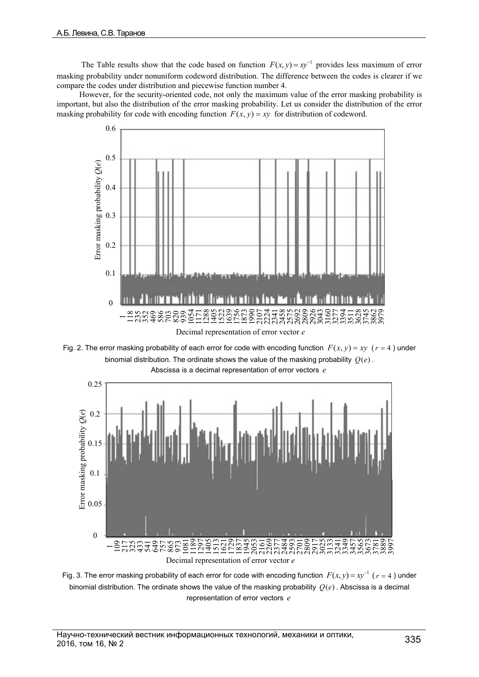The Table results show that the code based on function  $F(x, y) = xy^{-1}$  provides less maximum of error masking probability under nonuniform codeword distribution. The difference between the codes is clearer if we compare the codes under distribution and piecewise function number 4.

However, for the security-oriented code, not only the maximum value of the error masking probability is important, but also the distribution of the error masking probability. Let us consider the distribution of the error masking probability for code with encoding function  $F(x, y) = xy$  for distribution of codeword.



Fig. 2. The error masking probability of each error for code with encoding function  $F(x, y) = xy$  ( $r = 4$ ) under binomial distribution. The ordinate shows the value of the masking probability  $O(e)$ .



Fig. 3. The error masking probability of each error for code with encoding function  $F(x, y) = xy^{-1}$  ( $r = 4$ ) under binomial distribution. The ordinate shows the value of the masking probability  $O(e)$ . Abscissa is a decimal representation of error vectors *e*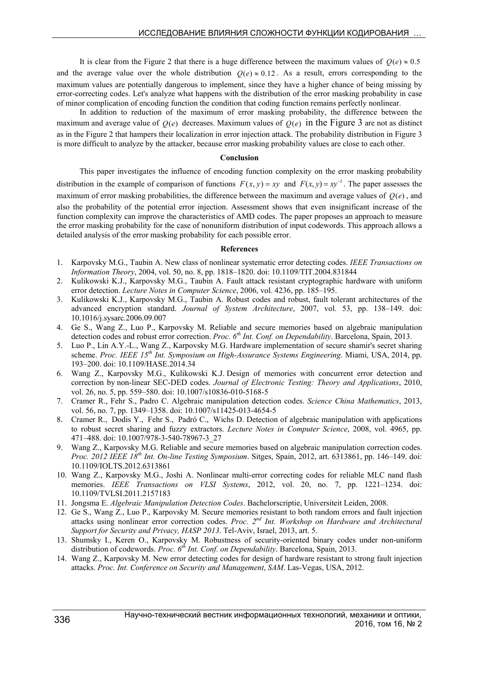It is clear from the Figure 2 that there is a huge difference between the maximum values of  $Q(e) \approx 0.5$ and the average value over the whole distribution  $Q(e) \approx 0.12$ . As a result, errors corresponding to the maximum values are potentially dangerous to implement, since they have a higher chance of being missing by error-correcting codes. Let's analyze what happens with the distribution of the error masking probability in case of minor complication of encoding function the condition that coding function remains perfectly nonlinear.

In addition to reduction of the maximum of error masking probability, the difference between the maximum and average value of  $O(e)$  decreases. Maximum values of  $O(e)$  in the Figure 3 are not as distinct as in the Figure 2 that hampers their localization in error injection attack. The probability distribution in Figure 3 is more difficult to analyze by the attacker, because error masking probability values are close to each other.

## **Conclusion**

This paper investigates the influence of encoding function complexity on the error masking probability distribution in the example of comparison of functions  $F(x, y) = xy$  and  $F(x, y) = xy^{-1}$ . The paper assesses the maximum of error masking probabilities, the difference between the maximum and average values of  $O(e)$ , and also the probability of the potential error injection. Assessment shows that even insignificant increase of the function complexity can improve the characteristics of AMD codes. The paper proposes an approach to measure the error masking probability for the case of nonuniform distribution of input codewords. This approach allows a detailed analysis of the error masking probability for each possible error.

### **References**

- 1. Karpovsky M.G., Taubin A. New class of nonlinear systematic error detecting codes. *IEEE Transactions on Information Theory*, 2004, vol. 50, no. 8, pp. 1818–1820. doi: 10.1109/TIT.2004.831844
- 2. Kulikowski K.J., Karpovsky M.G., Taubin A. Fault attack resistant cryptographic hardware with uniform error detection. *Lecture Notes in Computer Science*, 2006, vol. 4236, pp. 185–195.
- 3. Kulikowski K.J., Karpovsky M.G., Taubin A. Robust codes and robust, fault tolerant architectures of the advanced encryption standard. *Journal of System Architecture*, 2007, vol. 53, pp. 138–149. doi: 10.1016/j.sysarc.2006.09.007
- 4. Ge S., Wang Z., Luo P., Karpovsky M. Reliable and secure memories based on algebraic manipulation detection codes and robust error correction. *Proc. 6th Int. Conf. on Dependability*. Barcelona, Spain, 2013.
- 5. Luo P., Lin A.Y.-L., Wang Z., Karpovsky M.G. Hardware implementation of secure shamir's secret sharing scheme. *Proc. IEEE 15th Int. Symposium on High-Assurance Systems Engineering*. Miami, USA, 2014, pp. 193–200. doi: 10.1109/HASE.2014.34
- 6. Wang Z., Karpovsky M.G., Kulikowski K.J. Design of memories with concurrent error detection and correction by non-linear SEC-DED codes. *Journal of Electronic Testing: Theory and Applications*, 2010, vol. 26, no. 5, pp. 559–580. doi: 10.1007/s10836-010-5168-5
- 7. Cramer R., Fehr S., Padro C. Algebraic manipulation detection codes. *Science China Mathematics*, 2013, vol. 56, no. 7, pp. 1349–1358. doi: 10.1007/s11425-013-4654-5
- 8. Cramer R., Dodis Y., Fehr S., Padró C., Wichs D. Detection of algebraic manipulation with applications to robust secret sharing and fuzzy extractors. *Lecture Notes in Computer Science*, 2008, vol. 4965, pp. 471–488. doi: 10.1007/978-3-540-78967-3\_27
- 9. Wang Z., Karpovsky M.G. Reliable and secure memories based on algebraic manipulation correction codes. *Proc. 2012 IEEE 18th Int. On-line Testing Symposium*. Sitges, Spain, 2012, art. 6313861, pp. 146–149. doi: 10.1109/IOLTS.2012.6313861
- 10. Wang Z., Karpovsky M.G., Joshi A. Nonlinear multi-error correcting codes for reliable MLC nand flash memories. *IEEE Transactions on VLSI Systems*, 2012, vol. 20, no. 7, pp. 1221–1234. doi: 10.1109/TVLSI.2011.2157183
- 11. Jongsma E. *Algebraic Manipulation Detection Codes*. Bachelorscriptie, Universiteit Leiden, 2008.
- 12. Ge S., Wang Z., Luo P., Karpovsky M. Secure memories resistant to both random errors and fault injection attacks using nonlinear error correction codes. *Proc. 2nd Int. Workshop on Hardware and Architectural Support for Security and Privacy, HASP 2013*. Tel-Aviv, Israel, 2013, art. 5.
- 13. Shumsky I., Keren O., Karpovsky M. Robustness of security-oriented binary codes under non-uniform distribution of codewords. *Proc. 6th Int. Conf. on Dependability*. Barcelona, Spain, 2013.
- 14. Wang Z., Karpovsky M. New error detecting codes for design of hardware resistant to strong fault injection attacks. *Proc. Int. Conference on Security and Management*, *SAM*. Las-Vegas, USA, 2012.